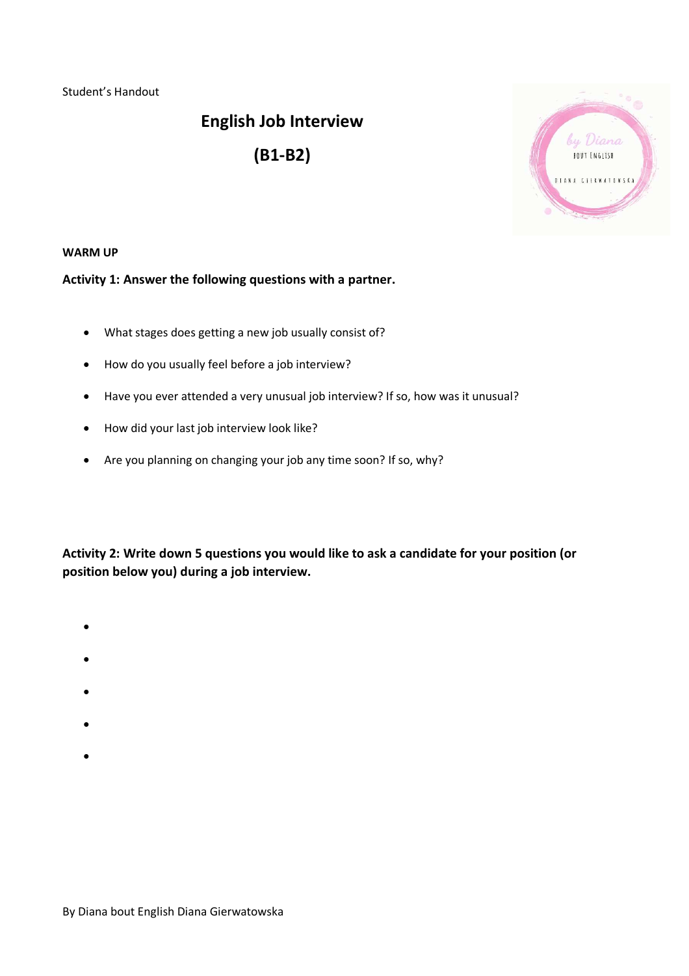Student's Handout

# **English Job Interview (B1-B2)**



#### **WARM UP**

### **Activity 1: Answer the following questions with a partner.**

- What stages does getting a new job usually consist of?
- How do you usually feel before a job interview?
- Have you ever attended a very unusual job interview? If so, how was it unusual?
- How did your last job interview look like?
- Are you planning on changing your job any time soon? If so, why?

**Activity 2: Write down 5 questions you would like to ask a candidate for your position (or position below you) during a job interview.**

- $\bullet$
- $\bullet$
- 
- $\bullet$
- $\bullet$
- $\bullet$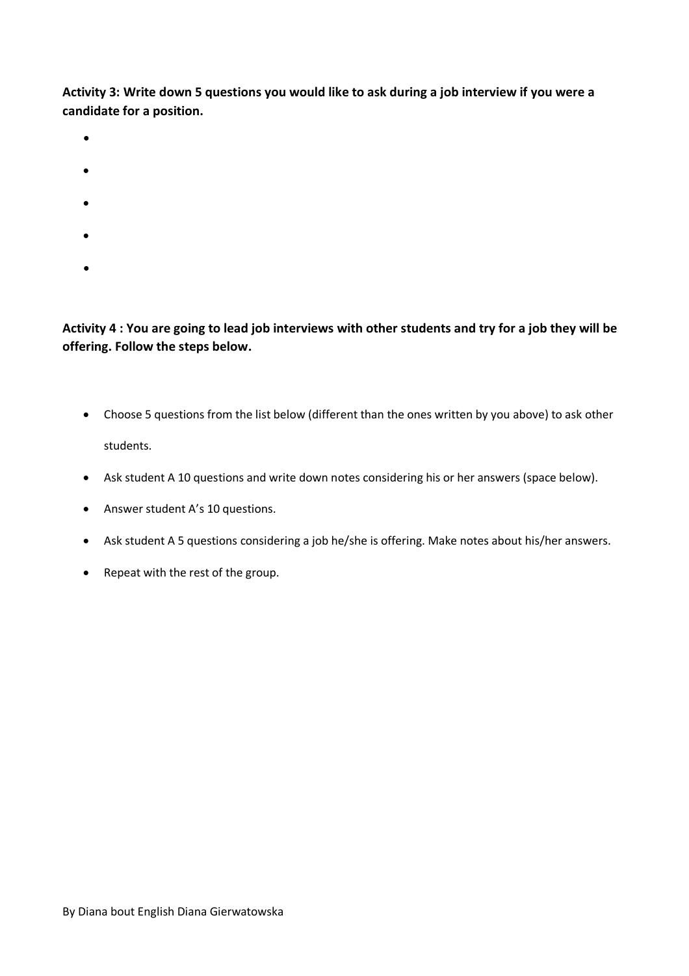**Activity 3: Write down 5 questions you would like to ask during a job interview if you were a candidate for a position.**

 $\bullet$ 

 $\bullet$ 

- $\bullet$
- 
- 
- $\bullet$
- $\bullet$

## **Activity 4 : You are going to lead job interviews with other students and try for a job they will be offering. Follow the steps below.**

- Choose 5 questions from the list below (different than the ones written by you above) to ask other students.
- Ask student A 10 questions and write down notes considering his or her answers (space below).
- Answer student A's 10 questions.
- Ask student A 5 questions considering a job he/she is offering. Make notes about his/her answers.
- Repeat with the rest of the group.